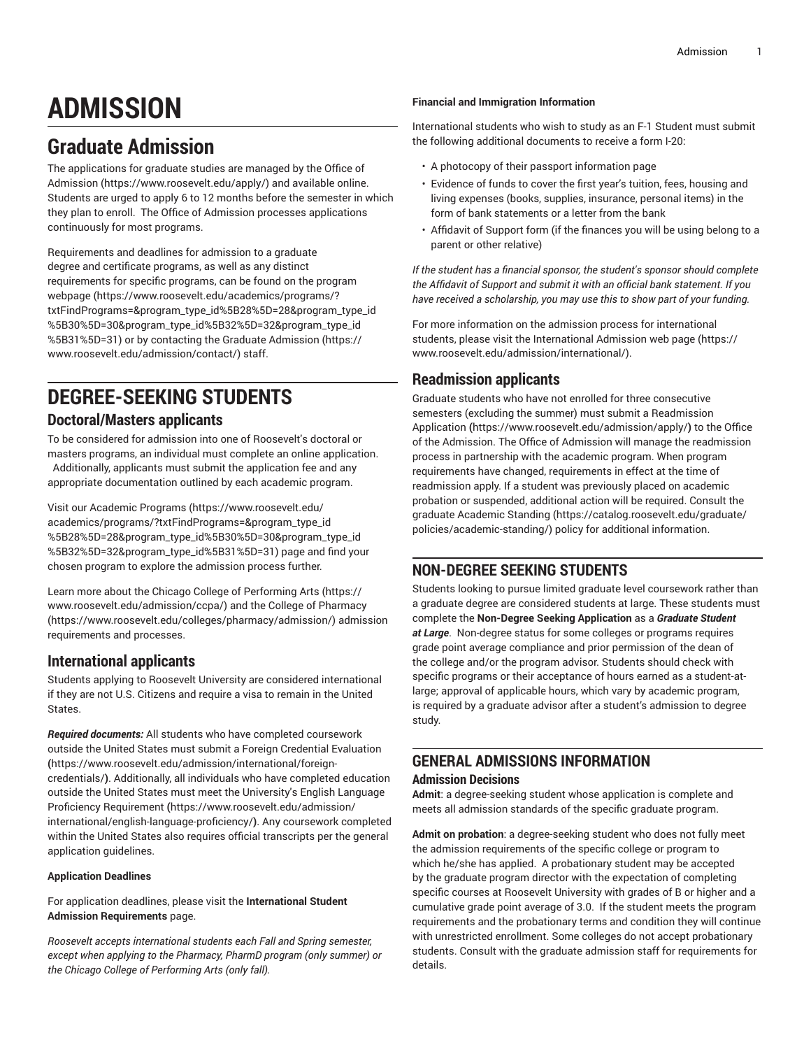# **ADMISSION**

## **Graduate Admission**

The applications for graduate studies are managed by the [Office of](https://www.roosevelt.edu/apply/) [Admission](https://www.roosevelt.edu/apply/) ([https://www.roosevelt.edu/apply/\)](https://www.roosevelt.edu/apply/) and available online. Students are urged to apply 6 to 12 months before the semester in which they plan to enroll. The Office of Admission processes applications continuously for most programs.

Requirements and deadlines for admission to a graduate degree and certificate programs, as well as any distinct requirements for specific programs, can be found on the [program](https://www.roosevelt.edu/academics/programs/?txtFindPrograms=&program_type_id%5B28%5D=28&program_type_id%5B30%5D=30&program_type_id%5B32%5D=32&program_type_id%5B31%5D=31) [webpage \(https://www.roosevelt.edu/academics/programs/?](https://www.roosevelt.edu/academics/programs/?txtFindPrograms=&program_type_id%5B28%5D=28&program_type_id%5B30%5D=30&program_type_id%5B32%5D=32&program_type_id%5B31%5D=31) [txtFindPrograms=&program\\_type\\_id%5B28%5D=28&program\\_type\\_id](https://www.roosevelt.edu/academics/programs/?txtFindPrograms=&program_type_id%5B28%5D=28&program_type_id%5B30%5D=30&program_type_id%5B32%5D=32&program_type_id%5B31%5D=31) [%5B30%5D=30&program\\_type\\_id%5B32%5D=32&program\\_type\\_id](https://www.roosevelt.edu/academics/programs/?txtFindPrograms=&program_type_id%5B28%5D=28&program_type_id%5B30%5D=30&program_type_id%5B32%5D=32&program_type_id%5B31%5D=31) [%5B31%5D=31\)](https://www.roosevelt.edu/academics/programs/?txtFindPrograms=&program_type_id%5B28%5D=28&program_type_id%5B30%5D=30&program_type_id%5B32%5D=32&program_type_id%5B31%5D=31) or by contacting the [Graduate Admission](https://www.roosevelt.edu/admission/contact/) ([https://](https://www.roosevelt.edu/admission/contact/) [www.roosevelt.edu/admission/contact/](https://www.roosevelt.edu/admission/contact/)) staff.

## **DEGREE-SEEKING STUDENTS**

## **Doctoral/Masters applicants**

To be considered for admission into one of Roosevelt's doctoral or masters programs, an individual must complete an online application. Additionally, applicants must submit the application fee and any appropriate documentation outlined by each academic program.

Visit our [Academic](https://www.roosevelt.edu/academics/programs/?txtFindPrograms=&program_type_id%5B28%5D=28&program_type_id%5B30%5D=30&program_type_id%5B32%5D=32&program_type_id%5B31%5D=31) Programs [\(https://www.roosevelt.edu/](https://www.roosevelt.edu/academics/programs/?txtFindPrograms=&program_type_id%5B28%5D=28&program_type_id%5B30%5D=30&program_type_id%5B32%5D=32&program_type_id%5B31%5D=31) [academics/programs/?txtFindPrograms=&program\\_type\\_id](https://www.roosevelt.edu/academics/programs/?txtFindPrograms=&program_type_id%5B28%5D=28&program_type_id%5B30%5D=30&program_type_id%5B32%5D=32&program_type_id%5B31%5D=31) [%5B28%5D=28&program\\_type\\_id%5B30%5D=30&program\\_type\\_id](https://www.roosevelt.edu/academics/programs/?txtFindPrograms=&program_type_id%5B28%5D=28&program_type_id%5B30%5D=30&program_type_id%5B32%5D=32&program_type_id%5B31%5D=31) [%5B32%5D=32&program\\_type\\_id%5B31%5D=31\)](https://www.roosevelt.edu/academics/programs/?txtFindPrograms=&program_type_id%5B28%5D=28&program_type_id%5B30%5D=30&program_type_id%5B32%5D=32&program_type_id%5B31%5D=31) page and find your chosen program to explore the admission process further.

Learn more about the Chicago College of [Performing](https://www.roosevelt.edu/admission/ccpa/) Arts ([https://](https://www.roosevelt.edu/admission/ccpa/) [www.roosevelt.edu/admission/ccpa/](https://www.roosevelt.edu/admission/ccpa/)) and the [College of Pharmacy](https://www.roosevelt.edu/colleges/pharmacy/admission/) ([https://www.roosevelt.edu/colleges/pharmacy/admission/\)](https://www.roosevelt.edu/colleges/pharmacy/admission/) admission requirements and processes.

## **International applicants**

Students applying to Roosevelt University are considered international if they are not U.S. Citizens and require a visa to remain in the United States.

*Required documents:* All students who have completed coursework outside the United States must submit a Foreign Credential [Evaluation](https://www.roosevelt.edu/admission/international/foreign-credentials/) **(**[https://www.roosevelt.edu/admission/international/foreign](https://www.roosevelt.edu/admission/international/foreign-credentials/)[credentials/](https://www.roosevelt.edu/admission/international/foreign-credentials/)**)**. Additionally, all individuals who have completed education outside the United States must meet the University's [English Language](https://www.roosevelt.edu/admission/international/english-language-proficiency/) Proficiency [Requirement](https://www.roosevelt.edu/admission/international/english-language-proficiency/) **(**[https://www.roosevelt.edu/admission/](https://www.roosevelt.edu/admission/international/english-language-proficiency/) [international/english-language-proficiency/](https://www.roosevelt.edu/admission/international/english-language-proficiency/)**)**. Any coursework completed within the United States also requires official transcripts per the general application guidelines.

## **Application Deadlines**

For application deadlines, please visit the **International Student Admission Requirements** page.

*Roosevelt accepts international students each Fall and Spring semester, except when applying to the Pharmacy, PharmD program (only summer) or the Chicago College of Performing Arts (only fall).*

## **Financial and Immigration Information**

International students who wish to study as an F-1 Student must submit the following additional documents to receive a form I-20:

- A photocopy of their passport information page
- Evidence of funds to cover the first year's tuition, fees, housing and living expenses (books, supplies, insurance, personal items) in the form of bank statements or a letter from the bank
- Affidavit of Support form (if the finances you will be using belong to a parent or other relative)

*If the student has a financial sponsor, the student's sponsor should complete the Affidavit of Support and submit it with an official bank statement. If you have received a scholarship, you may use this to show part of your funding.*

For more information on the admission process for international students, please visit the [International Admission web page](https://www.roosevelt.edu/admission/international/) ([https://](https://www.roosevelt.edu/admission/international/) [www.roosevelt.edu/admission/international/\)](https://www.roosevelt.edu/admission/international/).

## **Readmission applicants**

Graduate students who have not enrolled for three consecutive semesters (excluding the summer) must submit a [Readmission](https://www.roosevelt.edu/admission/apply/) [Application](https://www.roosevelt.edu/admission/apply/) **(**<https://www.roosevelt.edu/admission/apply/>**)** to the Office of the Admission. The Office of Admission will manage the readmission process in partnership with the academic program. When program requirements have changed, requirements in effect at the time of readmission apply. If a student was previously placed on academic probation or suspended, additional action will be required. Consult the graduate [Academic Standing \(https://catalog.roosevelt.edu/graduate/](https://catalog.roosevelt.edu/graduate/policies/academic-standing/) [policies/academic-standing/\)](https://catalog.roosevelt.edu/graduate/policies/academic-standing/) policy for additional information.

## **NON-DEGREE SEEKING STUDENTS**

Students looking to pursue limited graduate level coursework rather than a graduate degree are considered students at large. These students must complete the **Non-Degree Seeking Application** as a *Graduate Student at Large*. Non-degree status for some colleges or programs requires grade point average compliance and prior permission of the dean of the college and/or the program advisor. Students should check with specific programs or their acceptance of hours earned as a student-atlarge; approval of applicable hours, which vary by academic program, is required by a graduate advisor after a student's admission to degree study.

## **GENERAL ADMISSIONS INFORMATION**

## **Admission Decisions**

**Admit**: a degree-seeking student whose application is complete and meets all admission standards of the specific graduate program.

**Admit on probation**: a degree-seeking student who does not fully meet the admission requirements of the specific college or program to which he/she has applied. A probationary student may be accepted by the graduate program director with the expectation of completing specific courses at Roosevelt University with grades of B or higher and a cumulative grade point average of 3.0. If the student meets the program requirements and the probationary terms and condition they will continue with unrestricted enrollment. Some colleges do not accept probationary students. Consult with the graduate admission staff for requirements for details.